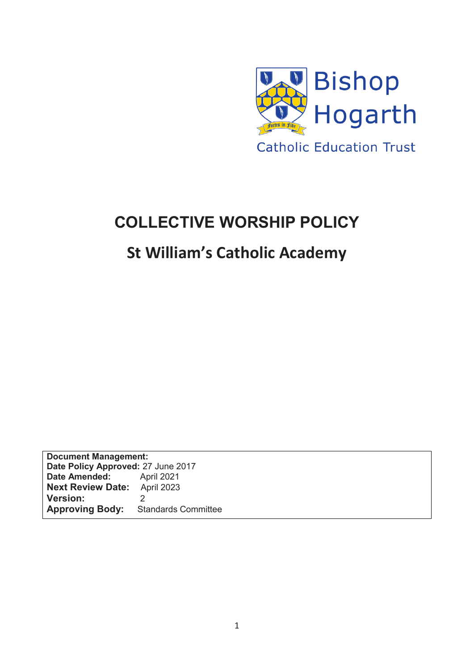

# **COLLECTIVE WORSHIP POLICY**

## **St William's Catholic Academy**

**Document Management: Date Policy Approved:** 27 June 2017 **Date Amended:** April 2021<br>**Next Review Date:** April 2023 **Next Review Date: Version:** 2 **Approving Body:** Standards Committee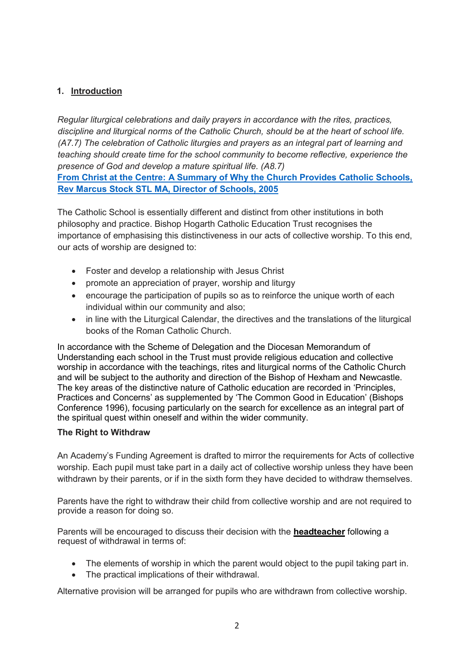## **1. Introduction**

*Regular liturgical celebrations and daily prayers in accordance with the rites, practices, discipline and liturgical norms of the Catholic Church, should be at the heart of school life. (A7.7) The celebration of Catholic liturgies and prayers as an integral part of learning and teaching should create time for the school community to become reflective, experience the presence of God and develop a mature spiritual life. (A8.7)*  **From Christ at the Centre: A Summary of Why the Church Provides Catholic Schools, Rev Marcus Stock STL MA, Director of Schools, 2005**

The Catholic School is essentially different and distinct from other institutions in both philosophy and practice. Bishop Hogarth Catholic Education Trust recognises the importance of emphasising this distinctiveness in our acts of collective worship. To this end, our acts of worship are designed to:

- Foster and develop a relationship with Jesus Christ
- promote an appreciation of prayer, worship and liturgy
- encourage the participation of pupils so as to reinforce the unique worth of each individual within our community and also;
- in line with the Liturgical Calendar, the directives and the translations of the liturgical books of the Roman Catholic Church.

In accordance with the Scheme of Delegation and the Diocesan Memorandum of Understanding each school in the Trust must provide religious education and collective worship in accordance with the teachings, rites and liturgical norms of the Catholic Church and will be subject to the authority and direction of the Bishop of Hexham and Newcastle. The key areas of the distinctive nature of Catholic education are recorded in 'Principles, Practices and Concerns' as supplemented by 'The Common Good in Education' (Bishops Conference 1996), focusing particularly on the search for excellence as an integral part of the spiritual quest within oneself and within the wider community.

#### **The Right to Withdraw**

An Academy's Funding Agreement is drafted to mirror the requirements for Acts of collective worship. Each pupil must take part in a daily act of collective worship unless they have been withdrawn by their parents, or if in the sixth form they have decided to withdraw themselves.

Parents have the right to withdraw their child from collective worship and are not required to provide a reason for doing so.

Parents will be encouraged to discuss their decision with the **headteacher** following a request of withdrawal in terms of:

- The elements of worship in which the parent would object to the pupil taking part in.
- The practical implications of their withdrawal.

Alternative provision will be arranged for pupils who are withdrawn from collective worship.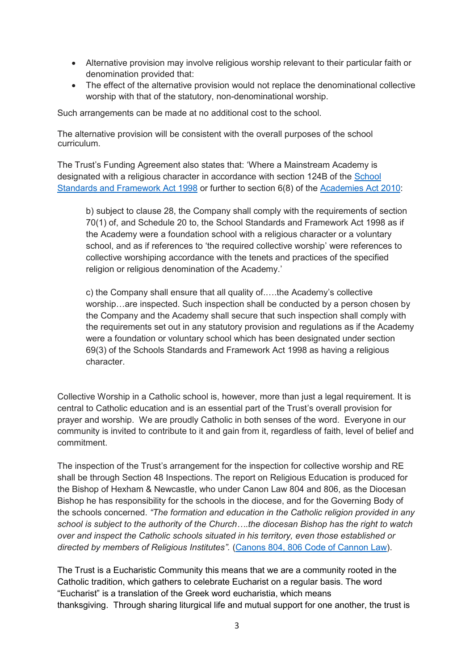- Alternative provision may involve religious worship relevant to their particular faith or denomination provided that:
- The effect of the alternative provision would not replace the denominational collective worship with that of the statutory, non-denominational worship.

Such arrangements can be made at no additional cost to the school.

The alternative provision will be consistent with the overall purposes of the school curriculum.

The Trust's Funding Agreement also states that: 'Where a Mainstream Academy is designated with a religious character in accordance with section 124B of the [School](http://www.legislation.gov.uk/ukpga/1998/31/contents)  [Standards and Framework Act 1998](http://www.legislation.gov.uk/ukpga/1998/31/contents) or further to section 6(8) of the [Academies Act 2010:](http://www.legislation.gov.uk/ukpga/2010/32/schedule/1)

b) subject to clause 28, the Company shall comply with the requirements of section 70(1) of, and Schedule 20 to, the School Standards and Framework Act 1998 as if the Academy were a foundation school with a religious character or a voluntary school, and as if references to 'the required collective worship' were references to collective worshiping accordance with the tenets and practices of the specified religion or religious denomination of the Academy.'

c) the Company shall ensure that all quality of.….the Academy's collective worship…are inspected. Such inspection shall be conducted by a person chosen by the Company and the Academy shall secure that such inspection shall comply with the requirements set out in any statutory provision and regulations as if the Academy were a foundation or voluntary school which has been designated under section 69(3) of the Schools Standards and Framework Act 1998 as having a religious character.

Collective Worship in a Catholic school is, however, more than just a legal requirement. It is central to Catholic education and is an essential part of the Trust's overall provision for prayer and worship. We are proudly Catholic in both senses of the word. Everyone in our community is invited to contribute to it and gain from it, regardless of faith, level of belief and commitment.

The inspection of the Trust's arrangement for the inspection for collective worship and RE shall be through Section 48 Inspections. The report on Religious Education is produced for the Bishop of Hexham & Newcastle, who under Canon Law 804 and 806, as the Diocesan Bishop he has responsibility for the schools in the diocese, and for the Governing Body of the schools concerned. *"The formation and education in the Catholic religion provided in any school is subject to the authority of the Church….the diocesan Bishop has the right to watch over and inspect the Catholic schools situated in his territory, even those established or directed by members of Religious Institutes".* [\(Canons 804, 806 Code of Cannon Law\)](http://www.vatican.va/archive/ENG1104/_P2N.HTM).

The Trust is a Eucharistic Community this means that we are a community rooted in the Catholic tradition, which gathers to celebrate Eucharist on a regular basis. The word "Eucharist" is a translation of the Greek word eucharistia, which means thanksgiving. Through sharing liturgical life and mutual support for one another, the trust is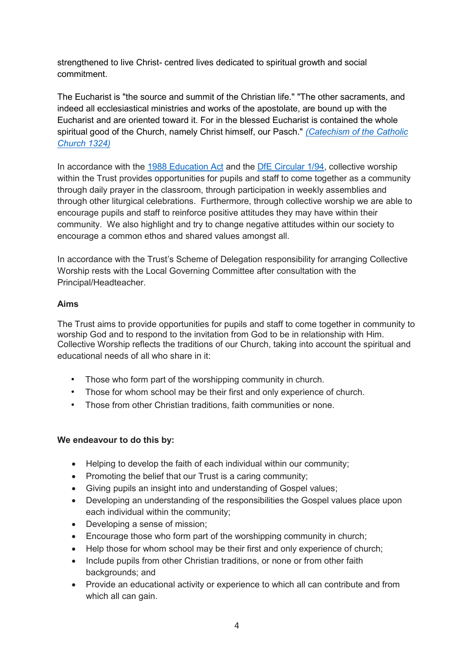strengthened to live Christ- centred lives dedicated to spiritual growth and social commitment.

The Eucharist is "the source and summit of the Christian life." "The other sacraments, and indeed all ecclesiastical ministries and works of the apostolate, are bound up with the Eucharist and are oriented toward it. For in the blessed Eucharist is contained the whole spiritual good of the Church, namely Christ himself, our Pasch." *[\(Catechism of the Catholic](http://www.vatican.va/archive/ccc_css/archive/catechism/p2s2c1a3.htm)  [Church 1324\)](http://www.vatican.va/archive/ccc_css/archive/catechism/p2s2c1a3.htm)*

In accordance with the [1988 Education Act](http://www.legislation.gov.uk/ukpga/1988/40/contents) and the [DfE Circular 1/94,](https://www.gov.uk/government/uploads/system/uploads/attachment_data/file/281929/Collective_worship_in_schools.pdf) collective worship within the Trust provides opportunities for pupils and staff to come together as a community through daily prayer in the classroom, through participation in weekly assemblies and through other liturgical celebrations. Furthermore, through collective worship we are able to encourage pupils and staff to reinforce positive attitudes they may have within their community. We also highlight and try to change negative attitudes within our society to encourage a common ethos and shared values amongst all.

In accordance with the Trust's Scheme of Delegation responsibility for arranging Collective Worship rests with the Local Governing Committee after consultation with the Principal/Headteacher.

#### **Aims**

The Trust aims to provide opportunities for pupils and staff to come together in community to worship God and to respond to the invitation from God to be in relationship with Him. Collective Worship reflects the traditions of our Church, taking into account the spiritual and educational needs of all who share in it:

- Those who form part of the worshipping community in church.
- Those for whom school may be their first and only experience of church.
- Those from other Christian traditions, faith communities or none.

#### **We endeavour to do this by:**

- Helping to develop the faith of each individual within our community;
- Promoting the belief that our Trust is a caring community:
- Giving pupils an insight into and understanding of Gospel values;
- Developing an understanding of the responsibilities the Gospel values place upon each individual within the community;
- Developing a sense of mission:
- Encourage those who form part of the worshipping community in church;
- Help those for whom school may be their first and only experience of church;
- Include pupils from other Christian traditions, or none or from other faith backgrounds; and
- Provide an educational activity or experience to which all can contribute and from which all can gain.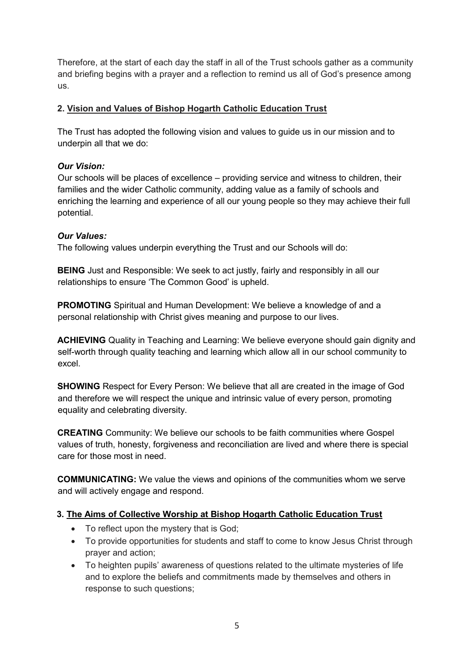Therefore, at the start of each day the staff in all of the Trust schools gather as a community and briefing begins with a prayer and a reflection to remind us all of God's presence among us.

## **2. Vision and Values of Bishop Hogarth Catholic Education Trust**

The Trust has adopted the following vision and values to guide us in our mission and to underpin all that we do:

## *Our Vision:*

Our schools will be places of excellence – providing service and witness to children, their families and the wider Catholic community, adding value as a family of schools and enriching the learning and experience of all our young people so they may achieve their full potential.

## *Our Values:*

The following values underpin everything the Trust and our Schools will do:

**BEING** Just and Responsible: We seek to act justly, fairly and responsibly in all our relationships to ensure 'The Common Good' is upheld.

**PROMOTING** Spiritual and Human Development: We believe a knowledge of and a personal relationship with Christ gives meaning and purpose to our lives.

**ACHIEVING** Quality in Teaching and Learning: We believe everyone should gain dignity and self-worth through quality teaching and learning which allow all in our school community to excel.

**SHOWING** Respect for Every Person: We believe that all are created in the image of God and therefore we will respect the unique and intrinsic value of every person, promoting equality and celebrating diversity.

**CREATING** Community: We believe our schools to be faith communities where Gospel values of truth, honesty, forgiveness and reconciliation are lived and where there is special care for those most in need.

**COMMUNICATING:** We value the views and opinions of the communities whom we serve and will actively engage and respond.

## **3. The Aims of Collective Worship at Bishop Hogarth Catholic Education Trust**

- To reflect upon the mystery that is God:
- To provide opportunities for students and staff to come to know Jesus Christ through prayer and action;
- To heighten pupils' awareness of questions related to the ultimate mysteries of life and to explore the beliefs and commitments made by themselves and others in response to such questions;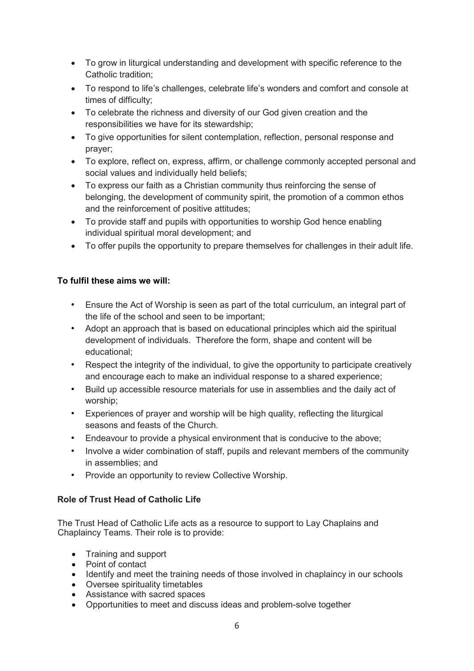- To grow in liturgical understanding and development with specific reference to the Catholic tradition;
- To respond to life's challenges, celebrate life's wonders and comfort and console at times of difficulty;
- To celebrate the richness and diversity of our God given creation and the responsibilities we have for its stewardship;
- To give opportunities for silent contemplation, reflection, personal response and prayer;
- To explore, reflect on, express, affirm, or challenge commonly accepted personal and social values and individually held beliefs;
- To express our faith as a Christian community thus reinforcing the sense of belonging, the development of community spirit, the promotion of a common ethos and the reinforcement of positive attitudes;
- To provide staff and pupils with opportunities to worship God hence enabling individual spiritual moral development; and
- To offer pupils the opportunity to prepare themselves for challenges in their adult life.

## **To fulfil these aims we will:**

- Ensure the Act of Worship is seen as part of the total curriculum, an integral part of the life of the school and seen to be important;
- Adopt an approach that is based on educational principles which aid the spiritual development of individuals. Therefore the form, shape and content will be educational;
- Respect the integrity of the individual, to give the opportunity to participate creatively and encourage each to make an individual response to a shared experience;
- Build up accessible resource materials for use in assemblies and the daily act of worship;
- Experiences of prayer and worship will be high quality, reflecting the liturgical seasons and feasts of the Church.
- Endeavour to provide a physical environment that is conducive to the above;
- Involve a wider combination of staff, pupils and relevant members of the community in assemblies; and
- Provide an opportunity to review Collective Worship.

## **Role of Trust Head of Catholic Life**

The Trust Head of Catholic Life acts as a resource to support to Lay Chaplains and Chaplaincy Teams. Their role is to provide:

- Training and support
- Point of contact
- Identify and meet the training needs of those involved in chaplaincy in our schools
- Oversee spirituality timetables
- Assistance with sacred spaces
- Opportunities to meet and discuss ideas and problem-solve together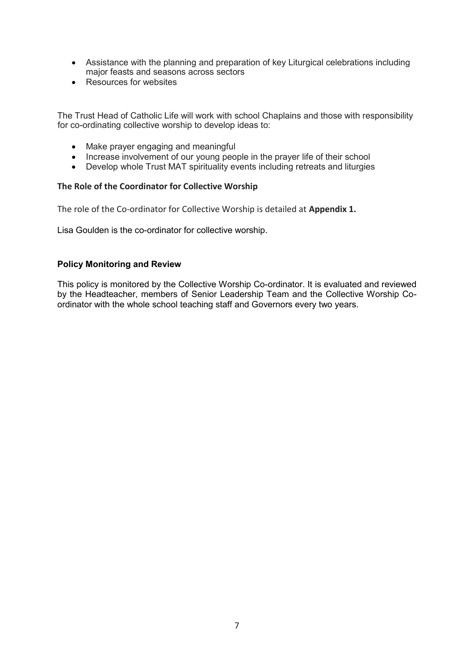- Assistance with the planning and preparation of key Liturgical celebrations including major feasts and seasons across sectors
- Resources for websites

The Trust Head of Catholic Life will work with school Chaplains and those with responsibility for co-ordinating collective worship to develop ideas to:

- Make prayer engaging and meaningful
- Increase involvement of our young people in the prayer life of their school
- Develop whole Trust MAT spirituality events including retreats and liturgies

#### **The Role of the Coordinator for Collective Worship**

The role of the Co-ordinator for Collective Worship is detailed at **Appendix 1.** 

Lisa Goulden is the co-ordinator for collective worship.

#### **Policy Monitoring and Review**

This policy is monitored by the Collective Worship Co-ordinator. It is evaluated and reviewed by the Headteacher, members of Senior Leadership Team and the Collective Worship Coordinator with the whole school teaching staff and Governors every two years.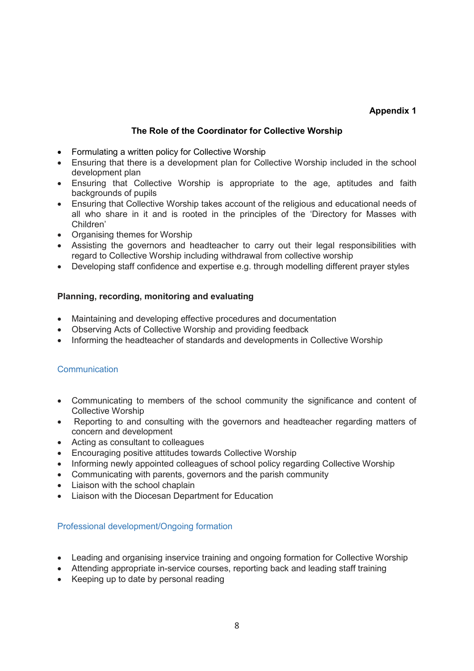## **Appendix 1**

### **The Role of the Coordinator for Collective Worship**

- Formulating a written policy for Collective Worship
- Ensuring that there is a development plan for Collective Worship included in the school development plan
- Ensuring that Collective Worship is appropriate to the age, aptitudes and faith backgrounds of pupils
- Ensuring that Collective Worship takes account of the religious and educational needs of all who share in it and is rooted in the principles of the 'Directory for Masses with Children'
- Organising themes for Worship
- Assisting the governors and headteacher to carry out their legal responsibilities with regard to Collective Worship including withdrawal from collective worship
- Developing staff confidence and expertise e.g. through modelling different prayer styles

#### **Planning, recording, monitoring and evaluating**

- Maintaining and developing effective procedures and documentation
- Observing Acts of Collective Worship and providing feedback
- Informing the headteacher of standards and developments in Collective Worship

#### **Communication**

- Communicating to members of the school community the significance and content of Collective Worship
- Reporting to and consulting with the governors and headteacher regarding matters of concern and development
- Acting as consultant to colleagues
- Encouraging positive attitudes towards Collective Worship
- Informing newly appointed colleagues of school policy regarding Collective Worship
- Communicating with parents, governors and the parish community
- Liaison with the school chaplain
- Liaison with the Diocesan Department for Education

#### Professional development/Ongoing formation

- Leading and organising inservice training and ongoing formation for Collective Worship
- Attending appropriate in-service courses, reporting back and leading staff training
- Keeping up to date by personal reading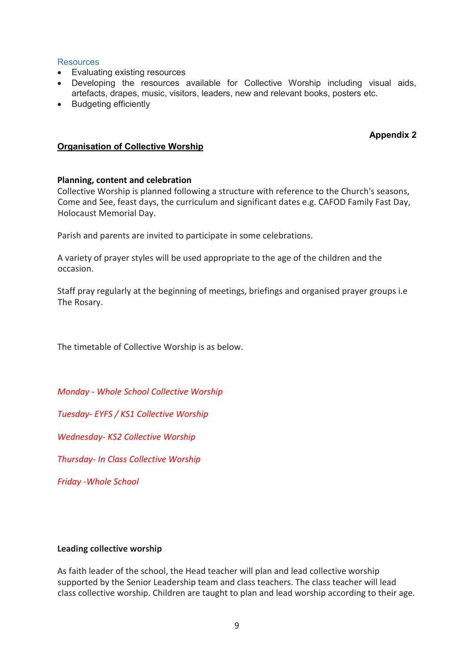#### **Resources**

- Evaluating existing resources
- Developing the resources available for Collective Worship including visual aids, artefacts, drapes, music, visitors, leaders, new and relevant books, posters etc.
- Budgeting efficiently

#### **Appendix 2**

#### **Organisation of Collective Worship**

#### **Planning, content and celebration**

Collective Worship is planned following a structure with reference to the Church's seasons, Come and See, feast days, the curriculum and significant dates e.g. CAFOD Family Fast Day, Holocaust Memorial Day.

Parish and parents are invited to participate in some celebrations.

A variety of prayer styles will be used appropriate to the age of the children and the occasion.

Staff pray regularly at the beginning of meetings, briefings and organised prayer groups i.e The Rosary.

The timetable of Collective Worship is as below.

*Monday - Whole School Collective Worship* 

*Tuesday- EYFS / KS1 Collective Worship* 

*Wednesday- KS2 Collective Worship* 

*Thursday- In Class Collective Worship* 

*Friday -Whole School* 

#### **Leading collective worship**

As faith leader of the school, the Head teacher will plan and lead collective worship supported by the Senior Leadership team and class teachers. The class teacher will lead class collective worship. Children are taught to plan and lead worship according to their age.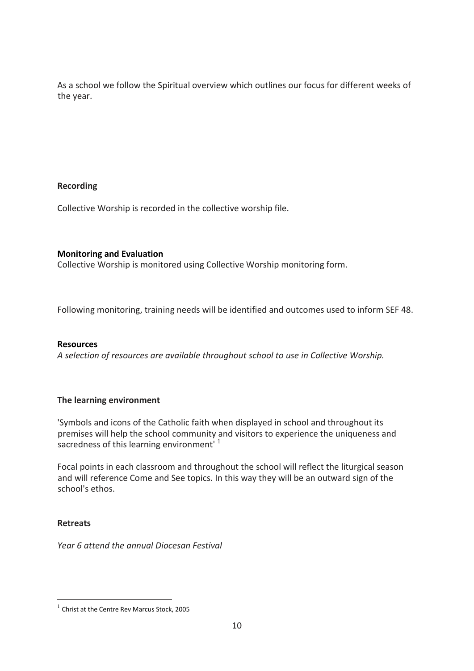As a school we follow the Spiritual overview which outlines our focus for different weeks of the year.

#### **Recording**

Collective Worship is recorded in the collective worship file.

#### **Monitoring and Evaluation**

Collective Worship is monitored using Collective Worship monitoring form.

Following monitoring, training needs will be identified and outcomes used to inform SEF 48.

#### **Resources**

*A selection of resources are available throughout school to use in Collective Worship.* 

## **The learning environment**

'Symbols and icons of the Catholic faith when displayed in school and throughout its premises will help the school community and visitors to experience the uniqueness and sacredness of this learning environment<sup>1</sup>

Focal points in each classroom and throughout the school will reflect the liturgical season and will reference Come and See topics. In this way they will be an outward sign of the school's ethos.

## **Retreats**

j

*Year 6 attend the annual Diocesan Festival* 

<sup>&</sup>lt;sup>1</sup> Christ at the Centre Rev Marcus Stock, 2005